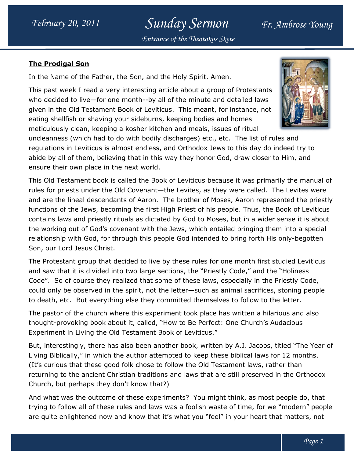Sunday Sermon Fr. Ambrose Young Entrance of the Theotokos Skete

## The Prodigal Son

In the Name of the Father, the Son, and the Holy Spirit. Amen.

This past week I read a very interesting article about a group of Protestants In the Name of the Father, the Son, and the Holy Spirit. Amen.<br>This past week I read a very interesting article about a group of Protestants<br>who decided to live—for one month--by all of the minute and detailed laws given in the Old Testament Book of Leviticus. This meant, for instance, not eating shellfish or shaving your sideburns, keeping bodies and homes meticulously clean, keeping a kosher kitchen and meals, issues of ritual who decided to live—for one month--by all of the minute and detailed laws<br>given in the Old Testament Book of Leviticus. This meant, for instance, not<br>eating shellfish or shaving your sideburns, keeping bodies and homes<br>met



regulations in Leviticus is almost endless, and Orthodox Jews to this day do indeed try to abide by all of them, believing that in this way they honor God, draw closer to Him, and ensure their own place in the next world. and Orthodox Jews to this day do indeed try to<br>way they honor God, draw closer to Him, and<br>k of Leviticus because it was primarily the manual c<br>the Levites, as they were called. The Levites were

This Old Testament book is called the Book of Leviticus because it was primarily the manual of rules for priests under the Old Covenant—the Levites, as they were called. and are the lineal descendants of Aaron. The brother of Moses, Aaron represented the priestly functions of the Jews, becoming the first High Priest of his people. Thus, the Book of Leviticus contains laws and priestly rituals as dictated by God to Moses, but in a wider sense it is about and are the lineal descendants of Aaron. The brother of Moses, Aaron represented the priestl<br>functions of the Jews, becoming the first High Priest of his people. Thus, the Book of Leviticus<br>contains laws and priestly ritua relationship with God, for through this people God intended to bring forth His only-begotten Son, our Lord Jesus Christ. functions of the Jews, becoming the first High Priest of his people. Thus, the Book of Leviticus<br>contains laws and priestly rituals as dictated by God to Moses, but in a wider sense it is about<br>the working out of God's cov

The Protestant group that decided to live by these rules for one month first studied Leviticus and saw that it is divided into two large sections, the "Priestly Code," and the "Holiness Code". So of course they realized that some of these laws, especially in the Priestly Code, could only be observed in the spirit, not the letter such animal sacrifices, stoning people to death, etc. But everything else they committed themselves to follow to the letter.

The pastor of the church where this experiment took place has written a hilarious and also thought-provoking book about it, called, "How to Be Perfect: One Church's Audacious Experiment in Living the Old Testament Book of Leviticus."

But, interestingly, there has also been another book, written by A.J. Jacobs, titled "The Year of Living Biblically," in which the author attempted to keep these biblical laws for 12 months. (It's curious that these good folk chose to follow the Old Testament laws, rather than returning to the ancient Christian traditions and laws that are still preserved in the Orthodox Church, but perhaps they don't know that?) returning to the ancient Christian traditions and laws that are still preserved in the Orthodox<br>Church, but perhaps they don't know that?)<br>And what was the outcome of these experiments? You might think, as most people do, to death, etc. But everything else they committed themselves to follow to the letter.<br>The pastor of the church where this experiment took place has written a hilarious and also<br>thought-provoking book about it, called, "How

trying to follow all of these rules and laws was a foolish waste of time, for we "modern" people trying to follow all of these rules and laws was a foolish waste of time, for we "modern" peop<br>are quite enlightened now and know that it's what you "feel" in your heart that matters, not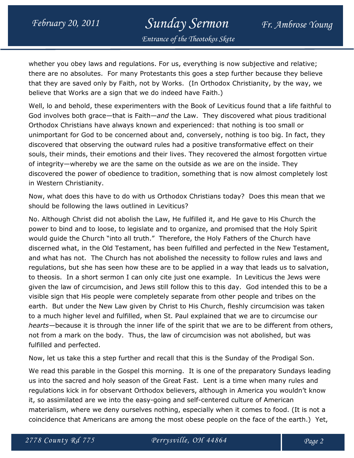## February 20, 2011 Sunday Sermon Fr. Ambrose Young Entrance of the Theotokos Skete

whether you obey laws and regulations. For us, everything is now subjective and relative; there are no absolutes. For many Protestants this goes a step further because they believe that they are saved only by Faith, not by Works. (In Orthodox Christianity, by the way, we believe that Works are a sign that we do indeed have Faith.)

Well, lo and behold, these experimenters with the Book of Leviticus found that a life faithful to God involves both grace—that is Faith—and the Law. They discovered what pious traditional Orthodox Christians have always known and experienced: that nothing is too small or unimportant for God to be concerned about and, conversely, nothing is too big. In fact, they discovered that observing the outward rules had a positive transformative effect on their souls, their minds, their emotions and their lives. They recovered the almost forgotten virtue of integrity—whereby we are the same on the outside as we are on the inside. They discovered the power of obedience to tradition, something that is now almost completely lost in Western Christianity.

Now, what does this have to do with us Orthodox Christians today? Does this mean that we should be following the laws outlined in Leviticus?

No. Although Christ did not abolish the Law, He fulfilled it, and He gave to His Church the power to bind and to loose, to legislate and to organize, and promised that the Holy Spirit would guide the Church "into all truth." Therefore, the Holy Fathers of the Church have discerned what, in the Old Testament, has been fulfilled and perfected in the New Testament, and what has not. The Church has not abolished the necessity to follow rules and laws and regulations, but she has seen how these are to be applied in a way that leads us to salvation, to theosis. In a short sermon I can only cite just one example. In Leviticus the Jews were given the law of circumcision, and Jews still follow this to this day. God intended this to be a visible sign that His people were completely separate from other people and tribes on the earth. But under the New Law given by Christ to His Church, fleshly circumcision was taken to a much higher level and fulfilled, when St. Paul explained that we are to circumcise our hearts—because it is through the inner life of the spirit that we are to be different from others, not from a mark on the body. Thus, the law of circumcision was not abolished, but was fulfilled and perfected.

Now, let us take this a step further and recall that this is the Sunday of the Prodigal Son.

We read this parable in the Gospel this morning. It is one of the preparatory Sundays leading us into the sacred and holy season of the Great Fast. Lent is a time when many rules and regulations kick in for observant Orthodox believers, although in America you wouldn't know it, so assimilated are we into the easy-going and self-centered culture of American materialism, where we deny ourselves nothing, especially when it comes to food. (It is not a coincidence that Americans are among the most obese people on the face of the earth.) Yet,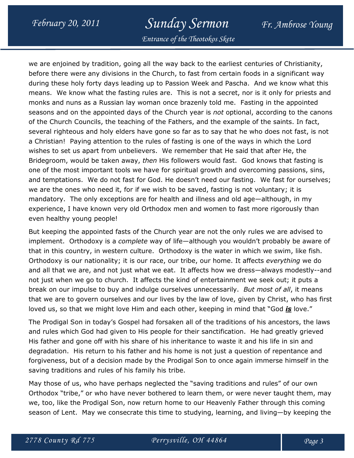## February 20, 2011 Sunday Sermon Fr. Ambrose Young

Entrance of the Theotokos Skete

we are enjoined by tradition, going all the way back to the earliest centuries of Christianity, before there were any divisions in the Church, to fast from certain foods in a significant way during these holy forty days leading up to Passion Week and Pascha. And we know what this means. We know what the fasting rules are. This is not a secret, nor is it only for priests and monks and nuns as a Russian lay woman once brazenly told me. Fasting in the appointed seasons and on the appointed days of the Church year is not optional, according to the canons of the Church Councils, the teaching of the Fathers, and the example of the saints. In fact, several righteous and holy elders have gone so far as to say that he who does not fast, is not a Christian! Paying attention to the rules of fasting is one of the ways in which the Lord wishes to set us apart from unbelievers. We remember that He said that after He, the Bridegroom, would be taken away, then His followers would fast. God knows that fasting is one of the most important tools we have for spiritual growth and overcoming passions, sins, and temptations. We do not fast for God. He doesn't need our fasting. We fast for ourselves; we are the ones who need it, for if we wish to be saved, fasting is not voluntary; it is mandatory. The only exceptions are for health and illness and old age—although, in my experience, I have known very old Orthodox men and women to fast more rigorously than even healthy young people!

But keeping the appointed fasts of the Church year are not the only rules we are advised to implement. Orthodoxy is a *complete* way of life—although you wouldn't probably be aware of that in this country, in western culture. Orthodoxy is the water in which we swim, like fish. Orthodoxy is our nationality; it is our race, our tribe, our home. It affects everything we do and all that we are, and not just what we eat. It affects how we dress—always modestly--and not just when we go to church. It affects the kind of entertainment we seek out; it puts a break on our impulse to buy and indulge ourselves unnecessarily. But most of all, it means that we are to govern ourselves and our lives by the law of love, given by Christ, who has first loved us, so that we might love Him and each other, keeping in mind that "God  $is$  love."

The Prodigal Son in today's Gospel had forsaken all of the traditions of his ancestors, the laws and rules which God had given to His people for their sanctification. He had greatly grieved His father and gone off with his share of his inheritance to waste it and his life in sin and degradation. His return to his father and his home is not just a question of repentance and forgiveness, but of a decision made by the Prodigal Son to once again immerse himself in the saving traditions and rules of his family his tribe.

May those of us, who have perhaps neglected the "saving traditions and rules" of our own Orthodox "tribe," or who have never bothered to learn them, or were never taught them, may we, too, like the Prodigal Son, now return home to our Heavenly Father through this coming season of Lent. May we consecrate this time to studying, learning, and living—by keeping the